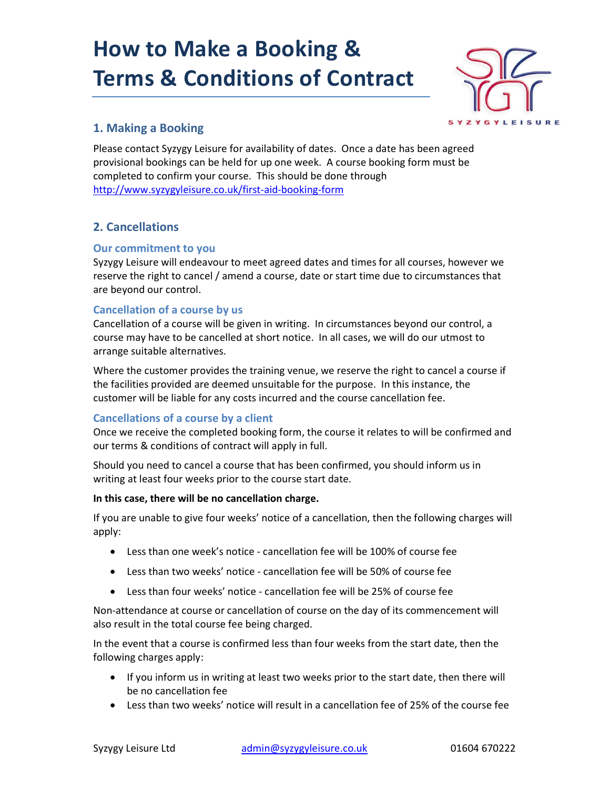# How to Make a Booking & Terms & Conditions of Contract



# 1. Making a Booking

Please contact Syzygy Leisure for availability of dates. Once a date has been agreed provisional bookings can be held for up one week. A course booking form must be completed to confirm your course. This should be done through http://www.syzygyleisure.co.uk/first-aid-booking-form

# 2. Cancellations

#### Our commitment to you

Syzygy Leisure will endeavour to meet agreed dates and times for all courses, however we reserve the right to cancel / amend a course, date or start time due to circumstances that are beyond our control.

### Cancellation of a course by us

Cancellation of a course will be given in writing. In circumstances beyond our control, a course may have to be cancelled at short notice. In all cases, we will do our utmost to arrange suitable alternatives.

Where the customer provides the training venue, we reserve the right to cancel a course if the facilities provided are deemed unsuitable for the purpose. In this instance, the customer will be liable for any costs incurred and the course cancellation fee.

### Cancellations of a course by a client

Once we receive the completed booking form, the course it relates to will be confirmed and our terms & conditions of contract will apply in full.

Should you need to cancel a course that has been confirmed, you should inform us in writing at least four weeks prior to the course start date.

#### In this case, there will be no cancellation charge.

If you are unable to give four weeks' notice of a cancellation, then the following charges will apply:

- Less than one week's notice cancellation fee will be 100% of course fee
- Less than two weeks' notice cancellation fee will be 50% of course fee
- Less than four weeks' notice cancellation fee will be 25% of course fee

Non-attendance at course or cancellation of course on the day of its commencement will also result in the total course fee being charged.

In the event that a course is confirmed less than four weeks from the start date, then the following charges apply:

- If you inform us in writing at least two weeks prior to the start date, then there will be no cancellation fee
- Less than two weeks' notice will result in a cancellation fee of 25% of the course fee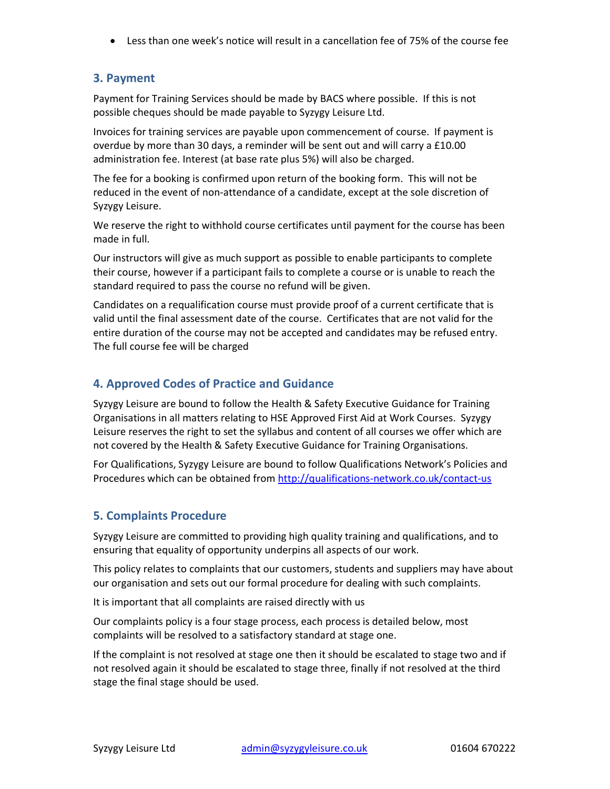Less than one week's notice will result in a cancellation fee of 75% of the course fee

## 3. Payment

Payment for Training Services should be made by BACS where possible. If this is not possible cheques should be made payable to Syzygy Leisure Ltd.

Invoices for training services are payable upon commencement of course. If payment is overdue by more than 30 days, a reminder will be sent out and will carry a £10.00 administration fee. Interest (at base rate plus 5%) will also be charged.

The fee for a booking is confirmed upon return of the booking form. This will not be reduced in the event of non-attendance of a candidate, except at the sole discretion of Syzygy Leisure.

We reserve the right to withhold course certificates until payment for the course has been made in full.

Our instructors will give as much support as possible to enable participants to complete their course, however if a participant fails to complete a course or is unable to reach the standard required to pass the course no refund will be given.

Candidates on a requalification course must provide proof of a current certificate that is valid until the final assessment date of the course. Certificates that are not valid for the entire duration of the course may not be accepted and candidates may be refused entry. The full course fee will be charged

# 4. Approved Codes of Practice and Guidance

Syzygy Leisure are bound to follow the Health & Safety Executive Guidance for Training Organisations in all matters relating to HSE Approved First Aid at Work Courses. Syzygy Leisure reserves the right to set the syllabus and content of all courses we offer which are not covered by the Health & Safety Executive Guidance for Training Organisations.

For Qualifications, Syzygy Leisure are bound to follow Qualifications Network's Policies and Procedures which can be obtained from http://qualifications-network.co.uk/contact-us

# 5. Complaints Procedure

Syzygy Leisure are committed to providing high quality training and qualifications, and to ensuring that equality of opportunity underpins all aspects of our work.

This policy relates to complaints that our customers, students and suppliers may have about our organisation and sets out our formal procedure for dealing with such complaints.

It is important that all complaints are raised directly with us

Our complaints policy is a four stage process, each process is detailed below, most complaints will be resolved to a satisfactory standard at stage one.

If the complaint is not resolved at stage one then it should be escalated to stage two and if not resolved again it should be escalated to stage three, finally if not resolved at the third stage the final stage should be used.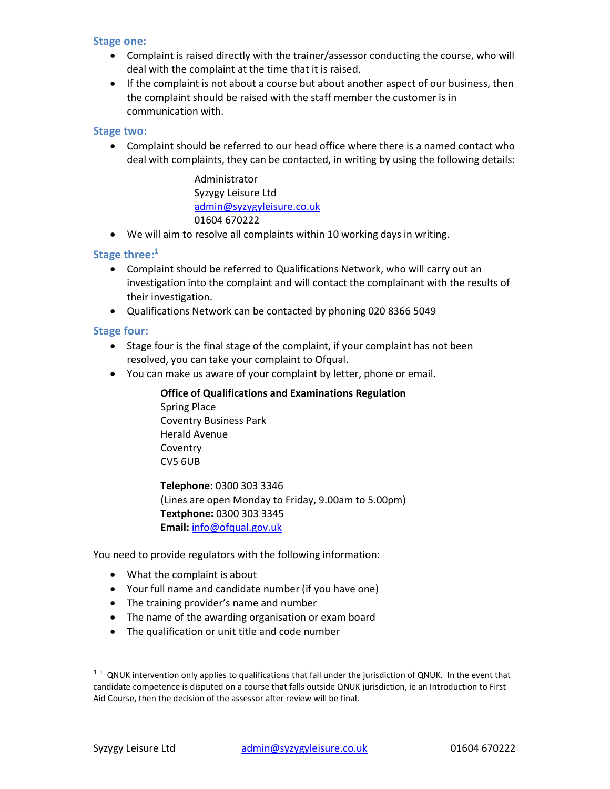#### Stage one:

- Complaint is raised directly with the trainer/assessor conducting the course, who will deal with the complaint at the time that it is raised.
- If the complaint is not about a course but about another aspect of our business, then the complaint should be raised with the staff member the customer is in communication with.

#### Stage two:

 Complaint should be referred to our head office where there is a named contact who deal with complaints, they can be contacted, in writing by using the following details:

> Administrator Syzygy Leisure Ltd admin@syzygyleisure.co.uk 01604 670222

We will aim to resolve all complaints within 10 working days in writing.

#### Stage three: $1$

- Complaint should be referred to Qualifications Network, who will carry out an investigation into the complaint and will contact the complainant with the results of their investigation.
- Qualifications Network can be contacted by phoning 020 8366 5049

#### Stage four:

- Stage four is the final stage of the complaint, if your complaint has not been resolved, you can take your complaint to Ofqual.
- You can make us aware of your complaint by letter, phone or email.

## Office of Qualifications and Examinations Regulation Spring Place

Coventry Business Park Herald Avenue **Coventry** CV5 6UB

Telephone: 0300 303 3346 (Lines are open Monday to Friday, 9.00am to 5.00pm) Textphone: 0300 303 3345 Email: info@ofqual.gov.uk

You need to provide regulators with the following information:

- What the complaint is about
- Your full name and candidate number (if you have one)
- The training provider's name and number
- The name of the awarding organisation or exam board
- The qualification or unit title and code number

-

 $11$  QNUK intervention only applies to qualifications that fall under the jurisdiction of QNUK. In the event that candidate competence is disputed on a course that falls outside QNUK jurisdiction, ie an Introduction to First Aid Course, then the decision of the assessor after review will be final.